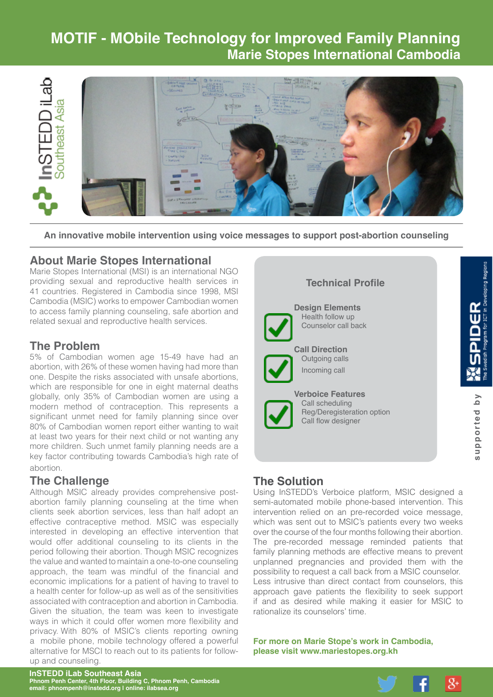# **MOTIF - MObile Technology for Improved Family Planning Marie Stopes International Cambodia**



**An innovative mobile intervention using voice messages to support post-abortion counseling**

## **About Marie Stopes International**

Marie Stopes International (MSI) is an international NGO providing sexual and reproductive health services in 41 countries. Registered in Cambodia since 1998, MSI Cambodia (MSIC) works to empower Cambodian women to access family planning counseling, safe abortion and related sexual and reproductive health services.

## **The Problem**

5% of Cambodian women age 15-49 have had an abortion, with 26% of these women having had more than one. Despite the risks associated with unsafe abortions, which are responsible for one in eight maternal deaths globally, only 35% of Cambodian women are using a modern method of contraception. This represents a significant unmet need for family planning since over 80% of Cambodian women report either wanting to wait at least two years for their next child or not wanting any more children. Such unmet family planning needs are a key factor contributing towards Cambodia's high rate of abortion.

### **The Challenge**

Although MSIC already provides comprehensive postabortion family planning counseling at the time when clients seek abortion services, less than half adopt an effective contraceptive method. MSIC was especially interested in developing an effective intervention that would offer additional counseling to its clients in the period following their abortion. Though MSIC recognizes the value and wanted to maintain a one-to-one counseling approach, the team was mindful of the financial and economic implications for a patient of having to travel to a health center for follow-up as well as of the sensitivities associated with contraception and abortion in Cambodia. Given the situation, the team was keen to investigate ways in which it could offer women more flexibility and privacy. With 80% of MSIC's clients reporting owning a mobile phone, mobile technology offered a powerful alternative for MSCI to reach out to its patients for followup and counseling.

#### **Technical Profile**



**Design Elements** Health follow up Counselor call back

**Call Direction** Outgoing calls Incoming call



**Verboice Features** Call scheduling Reg/Deregisteration option Call flow designer

## **The Solution**

Using InSTEDD's Verboice platform, MSIC designed a semi-automated mobile phone-based intervention. This intervention relied on an pre-recorded voice message, which was sent out to MSIC's patients every two weeks over the course of the four months following their abortion. The pre-recorded message reminded patients that family planning methods are effective means to prevent unplanned pregnancies and provided them with the possibility to request a call back from a MSIC counselor. Less intrusive than direct contact from counselors, this approach gave patients the flexibility to seek support if and as desired while making it easier for MSIC to rationalize its counselors' time.

**For more on Marie Stope's work in Cambodia, please visit <www.mariestopes.org.kh>**